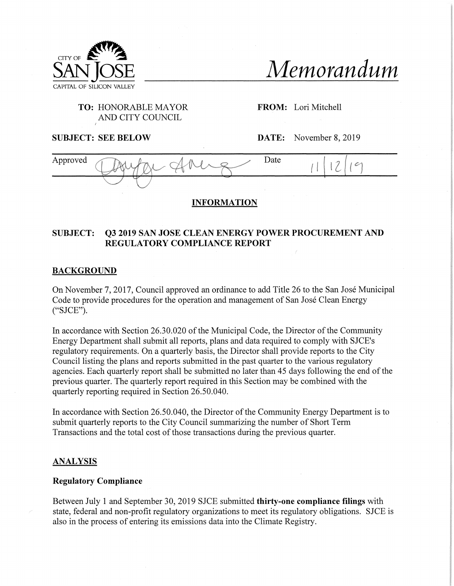

*Memorandum*

# **TO:** HONORABLE MAYOR AND CITY COUNCIL

**FROM:** Lori Mitchell

**SUBJECT: SEE BELOW DATE:** November 8, 2019



## **INFORMATION**

# **SUBJECT: Q3 2019 SAN JOSE CLEAN ENERGY POWER PROCUREMENT AND REGULATORY COMPLIANCE REPORT**

## **BACKGROUND**

On November 7, 2017, Council approved an ordinance to add Title 26 to the San Jose Municipal Code to provide procedures for the operation and management of San Jose Clean Energy ("SJCE").

In accordance with Section 26.30.020 of the Municipal Code, the Director of the Community Energy Department shall submit all reports, plans and data required to comply with SJCE's regulatory requirements. On a quarterly basis, the Director shall provide reports to the City Council listing the plans and reports submitted in the past quarter to the various regulatory agencies. Each quarterly report shall be submitted no later than 45 days following the end of the previous quarter. The quarterly report required in this Section may be combined with the quarterly reporting required in Section 26.50.040.

In accordance with Section 26.50.040, the Director of the Community Energy Department is to submit quarterly reports to the City Council summarizing the number of Short Term Transactions and the total cost of those transactions during the previous quarter.

### **ANALYSIS**

### **Regulatory Compliance**

Between July <sup>1</sup> and September 30, 2019 SJCE submitted **thirty-one compliance filings** with state, federal and non-profit regulatory organizations to meet its regulatory obligations. SJCE is also in the process of entering its emissions data into the Climate Registry.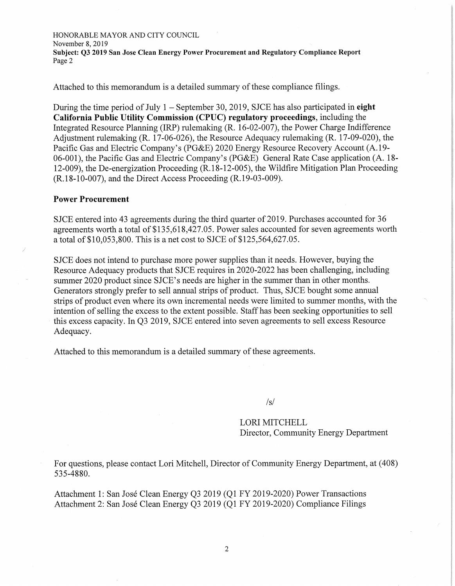HONORABLE MAYOR AND CITY COUNCIL November 8, 2019 **Subject: Q3 2019 San Jose Clean Energy Power Procurement and Regulatory Compliance Report** Page 2

Attached to this memorandum is a detailed summary of these compliance filings.

During the time period of July  $1 -$  September 30, 2019, SJCE has also participated in eight California Public Utility Commission (CPUC) regulatory proceedings, including the Integrated Resource Planning (IRP) rulemaking (R. 16-02-007), the Power Charge Indifference Adjustment rulemaking (R. 17-06-026), the Resource Adequacy rulemaking (R. 17-09-020), the Pacific Gas and Electric Company's (PG&E) 2020 Energy Resource Recovery Account (A. 19- 06-001), the Pacific Gas and Electric Company's (PG&E) General Rate Case application (A. 18- 12-009), the De-energization Proceeding (R. 18-12-005), the Wildfire Mitigation Plan Proceeding (R. 18-10-007), and the Direct Access Proceeding (R. 19-03-009).

#### Power Procurement

SJCE entered into 43 agreements during the third quarter of 2019. Purchases accounted for 36 agreements worth a total of \$135,618,427.05. Power sales accounted for seven agreements worth a total of \$10,053,800. This is a net cost to SJCE of \$125,564,627.05.

SJCE does not intend to purchase more power supplies than it needs. However, buying the Resource Adequacy products that SJCE requires in 2020-2022 has been challenging, including summer 2020 product since SJCE's needs are higher in the summer than in other months. Generators strongly prefer to sell annual strips of product. Thus, SJCE bought some annual strips of product even where its own incremental needs were limited to summer months, with the intention of selling the excess to the extent possible. Staff has been seeking opportunities to sell this excess capacity. In Q3 2019, SJCE entered into seven agreements to sell excess Resource Adequacy.

Attached to this memorandum is a detailed summary of these agreements.

 $\sqrt{s}$ 

#### LORI MITCHELL Director, Community Energy Department

For questions, please contact Lori Mitchell, Director of Community Energy Department, at (408) 535-4880.

Attachment 1: San Jose Clean Energy Q3 2019 (Q1 FY 2019-2020) Power Transactions Attachment 2: San Jose Clean Energy 03 2019 (01 FY 2019-2020) Compliance Filings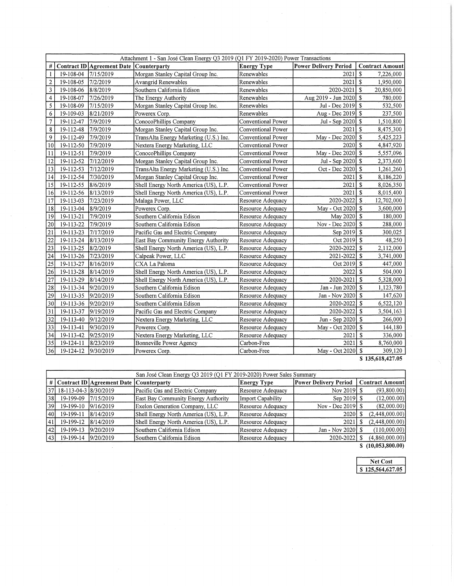|                         | Attachment 1 - San José Clean Energy Q3 2019 (Q1 FY 2019-2020) Power Transactions |                            |                                        |                                          |                               |                                  |  |
|-------------------------|-----------------------------------------------------------------------------------|----------------------------|----------------------------------------|------------------------------------------|-------------------------------|----------------------------------|--|
| #                       |                                                                                   | Contract ID Agreement Date | Counterparty                           | <b>Energy Type</b>                       | <b>Power Delivery Period</b>  | <b>Contract Amount</b>           |  |
| 1                       | 19-108-04                                                                         | 7/15/2019                  | Morgan Stanley Capital Group Inc.      | Renewables                               | -S<br>2021                    |                                  |  |
| $\overline{\mathbf{c}}$ | 19-108-05                                                                         | 7/2/2019                   | <b>Avangrid Renewables</b>             | Renewables                               | \$<br>2021                    |                                  |  |
| 3                       | 19-108-06                                                                         | 8/8/2019                   | Southern California Edison             | Renewables                               | 2020-2021                     | $\mathbf{\hat{s}}$<br>20,850,000 |  |
| $\overline{4}$          | 19-108-07                                                                         | 7/26/2019                  | The Energy Authority                   | Renewables                               | Aug 2019 - Jun 2020           | $\mathbf{s}$<br>780,000          |  |
| 5                       | 19-108-09                                                                         | 7/15/2019                  | Morgan Stanley Capital Group Inc.      | Renewables                               | Jul - Dec 2019                | $\sqrt{2}$<br>532,500            |  |
| 6                       | 19-109-03                                                                         | 8/21/2019                  | Powerex Corp.                          | Renewables                               | Aug - Dec 2019                | $\mathbb{S}$<br>237,500          |  |
| $\overline{7}$          | 19-112-47                                                                         | 7/9/2019                   | ConocoPhillips Company                 | Conventional Power                       | Jul - Sep 2020   \$           | 1,510,800                        |  |
| 8                       | 19-112-48                                                                         | 7/9/2019                   | Morgan Stanley Capital Group Inc.      | Conventional Power                       | 2021                          | l \$<br>8,475,300                |  |
| 9                       | 19-112-49                                                                         | 7/9/2019                   | TransAlta Energy Marketing (U.S.) Inc. | Conventional Power                       | May - Dec 2020 \$             | 5,425,223                        |  |
| 10                      | 19-112-50                                                                         | 7/9/2019                   | Nextera Energy Marketing, LLC          | Conventional Power                       | $2020$ $\sqrt{5}$             | 4,847,920                        |  |
| 11                      | 19-112-51                                                                         | 7/9/2019                   | ConocoPhillips Company                 | Conventional Power                       | May - Dec 2020 \\$            | 5,557,096                        |  |
| 12                      | 19-112-52                                                                         | 7/12/2019                  | Morgan Stanley Capital Group Inc.      | Conventional Power                       | Jul - Sep 2020   \$           | 2,373,600                        |  |
| 13                      | 19-112-53                                                                         | 7/12/2019                  | TransAlta Energy Marketing (U.S.) Inc. | Conventional Power                       | $\mathbf S$<br>Oct - Dec 2020 |                                  |  |
| 14                      | 19-112-54                                                                         | 7/30/2019                  | Morgan Stanley Capital Group Inc.      | Conventional Power                       | 2021                          | \$<br>8,186,220                  |  |
| 15                      | 19-112-55                                                                         | 8/6/2019                   | Shell Energy North America (US), L.P.  | Conventional Power                       | 2021                          | S<br>8,026,350                   |  |
| 16                      | 19-112-56                                                                         | 8/13/2019                  | Shell Energy North America (US), L.P.  | Conventional Power                       | 2021                          | $\mathbf{\hat{s}}$<br>8,015,400  |  |
| 17                      | 19-113-03                                                                         | 7/23/2019                  | Malaga Power, LLC                      | Resource Adequacy                        | 2020-2022                     | $\mathbf{\hat{S}}$<br>12,702,000 |  |
| 18                      | 19-113-04                                                                         | 8/9/2019                   | Powerex Corp.                          | Resource Adequacy                        | May - Oct 2020 \$             | 3,600,000                        |  |
| 19                      | 19-113-21                                                                         | 7/9/2019                   | Southern California Edison             | Resource Adequacy                        | May 2020 \$                   | 180,000                          |  |
| 20                      | 19-113-22                                                                         | 7/9/2019                   | Southern California Edison             | Resource Adequacy                        | Nov - Dec 2020   \$           |                                  |  |
| 21                      | 19-113-23                                                                         | 7/17/2019                  | Pacific Gas and Electric Company       | Resource Adequacy                        | -\$<br>Sep 2019               |                                  |  |
| 22                      | 19-113-24                                                                         | 8/13/2019                  | East Bay Community Energy Authority    | Resource Adequacy                        | $\sqrt{3}$<br>Oct 2019        |                                  |  |
| 23                      | 19-113-25                                                                         | 8/2/2019                   | Shell Energy North America (US), L.P.  | Resource Adequacy                        | $\mathbf S$<br>2020-2022      |                                  |  |
| 24                      | 19-113-26                                                                         | 7/23/2019                  | Calpeak Power, LLC                     | Resource Adequacy                        | 2021-2022                     | $\mathbf{s}$<br>3,741,000        |  |
| 25                      | 19-113-27                                                                         | 8/16/2019                  | CXA La Paloma                          | Resource Adequacy                        | Oct 2019                      | $\mathbf{\hat{S}}$<br>447,000    |  |
| 26                      | 19-113-28                                                                         | 8/14/2019                  | Shell Energy North America (US), L.P.  | Resource Adequacy                        | 2022                          | $\mathbb{S}$<br>504,000          |  |
| 27                      | 19-113-29                                                                         | 8/14/2019                  | Shell Energy North America (US), L.P.  | Resource Adequacy                        | 2020-2021                     | $\mathbf{s}$<br>5,328,000        |  |
| 28                      | 19-113-34                                                                         | 9/20/2019                  | Southern California Edison             | Jan - Jun 2020   \$<br>Resource Adequacy |                               | 1,123,780                        |  |
| 29                      | 19-113-35                                                                         | 9/20/2019                  | Southern California Edison             | Resource Adequacy                        | Jan - Nov 2020   \$           | 147,620                          |  |
| 30                      | 19-113-36                                                                         | 9/20/2019                  | Southern California Edison             | Resource Adequacy                        | 2020-2022                     | $\sqrt{3}$<br>6,522,120          |  |
| 31                      | 19-113-37                                                                         | 9/19/2019                  | Pacific Gas and Electric Company       | Resource Adequacy                        | $2020 - 2022$ \$              | 3,504,163                        |  |
| 32                      | 19-113-40                                                                         | 9/12/2019                  | Nextera Energy Marketing, LLC          | Resource Adequacy                        | Jun - Sep 2020   \$           | 266,000                          |  |
| 33                      | 19-113-41                                                                         | 9/30/2019                  | Powerex Corp.                          | Resource Adequacy                        | May - Oct 2020                | <b>S</b><br>144,180              |  |
| 34                      | 19-113-42                                                                         | 9/25/2019                  | Nextera Energy Marketing, LLC          | Resource Adequacy                        | 2021                          | l s<br>336,000                   |  |
| 35                      | 19-124-11                                                                         | 8/23/2019                  | Bonneville Power Agency                | Carbon-Free                              | 2021                          | $\sqrt{3}$<br>8,760,000          |  |
| 36                      | 19-124-12                                                                         | 9/30/2019                  | Powerex Corp.                          | Carbon-Free                              | May - Oct 2020 \$             | 309,120<br>0 125 610 127 05      |  |

**\$ 135,618,427.05**

|                 | San José Clean Energy Q3 2019 (Q1 FY 2019-2020) Power Sales Summary |                                              |                                       |                    |                              |  |                        |
|-----------------|---------------------------------------------------------------------|----------------------------------------------|---------------------------------------|--------------------|------------------------------|--|------------------------|
|                 |                                                                     | $\#$ Contract ID Agreement Date Counterparty |                                       | <b>Energy Type</b> | <b>Power Delivery Period</b> |  | <b>Contract Amount</b> |
| 37 <sup> </sup> | 18-113-04-3 8/30/2019                                               |                                              | Pacific Gas and Electric Company      | Resource Adequacy  | Nov 2019 \\$                 |  | (93,800.00)            |
| 38 <sup>I</sup> | 19-199-09                                                           | 17/15/2019                                   | East Bay Community Energy Authority   | Import Capability  | Sep 2019 \\$                 |  | (12,000.00)            |
| 39I             | 19-199-10                                                           | 9/16/2019                                    | Exelon Generation Company, LLC        | Resource Adequacy  | Nov - Dec 2019 $\$           |  | (82,000,00)            |
| 40I             | 19-199-11                                                           | 8/14/2019                                    | Shell Energy North America (US), L.P. | Resource Adequacy  | 2020 <sup>1</sup>            |  | (2,448,000.00)         |
| 41              | 19-199-12                                                           | 8/14/2019                                    | Shell Energy North America (US), L.P. | Resource Adequacy  | 2021                         |  | (2,448,000.00)         |
| 42 <sub>1</sub> | 19-199-13                                                           | 9/20/2019                                    | Southern California Edison            | Resource Adequacy  | Jan - Nov 2020   \$          |  | (110,000.00)           |
| 43              | 19-199-14                                                           | 9/20/2019                                    | Southern California Edison            | Resource Adequacy  | 2020-20221                   |  | (4,860,000.00)         |

 $\sim$ 

**\$ (10,053,800.00)**

| Net Cost         |
|------------------|
| \$125,564,627.05 |